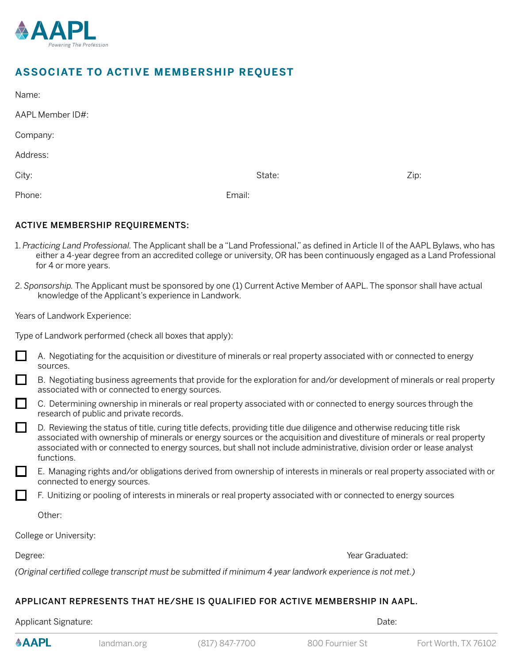

## **ASSOCIATE TO ACTIVE MEMBERSHIP REQUEST**

| AAPL Member ID#: |  |  |  |
|------------------|--|--|--|
|------------------|--|--|--|

Company:

Address:

City: State: Zip:

Phone: Email:

## ACTIVE MEMBERSHIP REQUIREMENTS:

- 1. *Practicing Land Professional.* The Applicant shall be a "Land Professional," as defined in Article II of the AAPL Bylaws, who has either a 4-year degree from an accredited college or university, OR has been continuously engaged as a Land Professional for 4 or more years.
- 2. *Sponsorship.* The Applicant must be sponsored by one (1) Current Active Member of AAPL. The sponsor shall have actual knowledge of the Applicant's experience in Landwork.

Years of Landwork Experience:

| A. Negotiating for the acquisition or divestiture of minerals or real property associated with or connected to energy<br>sources.                                                                                                                                                                                                                                                         |
|-------------------------------------------------------------------------------------------------------------------------------------------------------------------------------------------------------------------------------------------------------------------------------------------------------------------------------------------------------------------------------------------|
| B. Negotiating business agreements that provide for the exploration for and/or development of minerals or real property<br>associated with or connected to energy sources.                                                                                                                                                                                                                |
| C. Determining ownership in minerals or real property associated with or connected to energy sources through the<br>research of public and private records.                                                                                                                                                                                                                               |
| D. Reviewing the status of title, curing title defects, providing title due diligence and otherwise reducing title risk<br>associated with ownership of minerals or energy sources or the acquisition and divestiture of minerals or real property<br>associated with or connected to energy sources, but shall not include administrative, division order or lease analyst<br>functions. |
| E. Managing rights and/or obligations derived from ownership of interests in minerals or real property associated with or<br>connected to energy sources.                                                                                                                                                                                                                                 |

F. Unitizing or pooling of interests in minerals or real property associated with or connected to energy sources

Other:

College or University:

**AAPL** 

Degree: Wear Graduated: New York Channels and the Channels of the Channels of the Vear Graduated:

*(Original certified college transcript must be submitted if minimum 4 year landwork experience is not met.)* 

## APPLICANT REPRESENTS THAT HE/SHE IS QUALIFIED FOR ACTIVE MEMBERSHIP IN AAPL.

Applicant Signature: Date: Date: Date: Date: Date: Date: Date: Date: Date: Date: Date: Date: Date: Date: Date: Date: Date: Date: Date: Date: Date: Date: Date: Date: Date: Date: Date: Date: Date: Date: Date: Date: Date: Dat